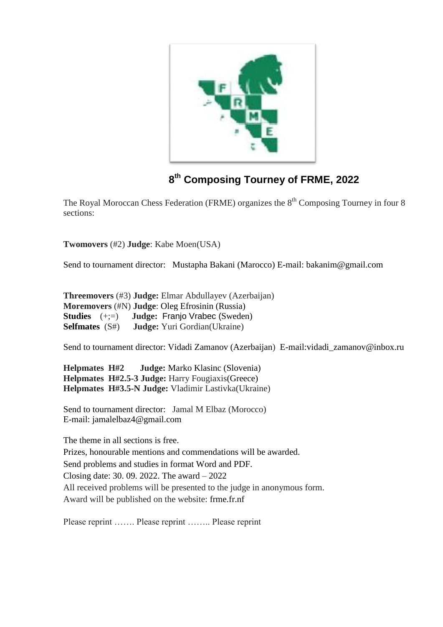

## **8 th Composing Tourney of FRME, 2022**

The Royal Moroccan Chess Federation (FRME) organizes the 8<sup>th</sup> Composing Tourney in four 8 sections:

**Twomovers** (#2) **Judge**: Kabe Moen(USA)

Send to tournament director: Mustapha Bakani (Marocco) E-mail: bakanim@gmail.com

**Threemovers** (#3) **Judge:** Elmar Abdullayev (Azerbaijan) **Moremovers** (#N) **Judge**: Oleg Efrosinin (Russia) **Studies** (+;=) **Judge:** Franjo Vrabec (Sweden) **Selfmates** (S#) **Judge:** Yuri Gordian(Ukraine)

Send to tournament director: Vidadi Zamanov (Azerbaijan) E-mail: vidadi zamanov@inbox.ru

**Helpmates H#2 Judge:** Marko Klasinc (Slovenia) **Helpmates H#2.5-3 Judge:** Harry Fougiaxis(Greece) **Helpmates H#3.5-N Judge:** Vladimir Lastivka(Ukraine)

Send to tournament director: Jamal M Elbaz (Morocco) E-mail: jamalelbaz4@gmail.com

The theme in all sections is free.

Prizes, honourable mentions and commendations will be awarded.

Send problems and studies in format Word and PDF.

Closing date: 30. 09. 2022. The award – 2022

All received problems will be presented to the judge in anonymous form.

Award will be published on the website: frme.fr.nf

Please reprint ……. Please reprint …….. Please reprint